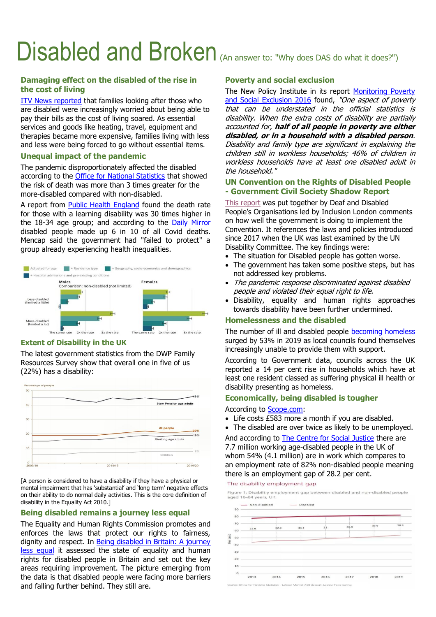# Disabled and Broken (An answer to: "Why does DAS do what it does?")

## **Damaging effect on the disabled of the rise in the cost of living**

[ITV News reported](https://www.itv.com/news/granada/2022-03-22/how-the-cost-of-living-is-affecting-families-with-disabilities) that families looking after those who are disabled were increasingly worried about being able to pay their bills as the cost of living soared. As essential services and goods like heating, travel, equipment and therapies became more expensive, families living with less and less were being forced to go without essential items.

### **Unequal impact of the pandemic**

The pandemic disproportionately affected the disabled according to the [Office for National Statistics](https://www.ons.gov.uk/peoplepopulationandcommunity/healthandsocialcare/disability/articles/coronavirusandthesocialimpactsondisabledpeopleingreatbritain/july2020) that showed the risk of death was more than 3 times greater for the more-disabled compared with non-disabled.

A report from [Public Health England](http://www.daseastsuffolk.org/wp-content/uploads/2020/11/PHE-COVID-19-Learning-Disabilities-Mortality-Report.pdf) found the death rate for those with a learning disability was 30 times higher in the 18-34 age group; and according to the [Daily Mirror](https://www.mirror.co.uk/news/uk-news/breaking-covid-claimed-lives-30000-23481902) disabled people made up 6 in 10 of all Covid deaths. Mencap said the government had "failed to protect" a group already experiencing health inequalities.



## **Extent of Disability in the UK**

The latest government statistics from the DWP Family Resources Survey show that overall one in five of us (22%) has a disability:



[A person is considered to have a disability if they have a physical or mental impairment that has 'substantial' and 'long term' negative effects on their ability to do normal daily activities. This is the core definition of disability in the Equality Act 2010.]

## **Being disabled remains a journey less equal**

The Equality and Human Rights Commission promotes and enforces the laws that protect our rights to fairness, dignity and respect. In [Being disabled in Britain: A journey](https://www.equalityhumanrights.com/en/publication-download/being-disabled-britain-journey-less-equal)  [less equal](https://www.equalityhumanrights.com/en/publication-download/being-disabled-britain-journey-less-equal) it assessed the state of equality and human rights for disabled people in Britain and set out the key areas requiring improvement. The picture emerging from the data is that disabled people were facing more barriers and falling further behind. They still are.

## **Poverty and social exclusion**

The New Policy Institute in its report Monitoring Poverty [and Social Exclusion 2016](https://www.npi.org.uk/publications/income-and-poverty/monitoring-poverty-and-social-exclusion-mpse-2016/) found, "One aspect of poverty that can be understated in the official statistics is disability. When the extra costs of disability are partially accounted for, **half of all people in poverty are either disabled, or in a household with a disabled person**. Disability and family type are significant in explaining the children still in workless households; 46% of children in workless households have at least one disabled adult in the household."

## **UN Convention on the Rights of Disabled People - Government Civil Society Shadow Report**

[This report](https://www.inclusionlondon.org.uk/wp-content/uploads/2022/03/Westminster-Government-Civil-Society-Shadow-Report.pdf) was put together by Deaf and Disabled People's Organisations led by Inclusion London comments on how well the government is doing to implement the Convention. It references the laws and policies introduced since 2017 when the UK was last examined by the UN Disability Committee. The key findings were:

- The situation for Disabled people has gotten worse.
- The government has taken some positive steps, but has not addressed key problems.
- The pandemic response discriminated against disabled people and violated their equal right to life.
- Disability, equality and human rights approaches towards disability have been further undermined.

#### **Homelessness and the disabled**

The number of ill and disabled people [becoming homeless](https://www.independent.co.uk/news/uk/home-news/homeless-disabled-ill-rough-sleeping-housing-crisis-a9251756.html) surged by 53% in 2019 as local councils found themselves increasingly unable to provide them with support.

According to Government data, councils across the UK reported a 14 per cent rise in households which have at least one resident classed as suffering physical ill health or disability presenting as homeless.

## **Economically, being disabled is tougher**

#### According to [Scope.com:](https://www.scope.org.uk/campaigns/extra-costs/)

- Life costs £583 more a month if you are disabled.
- The disabled are over twice as likely to be unemployed.

And according to [The Centre for Social Justice](https://www.centreforsocialjustice.org.uk/library/commissioning-excellence-in-disability) there are 7.7 million working age-disabled people in the UK of whom 54% (4.1 million) are in work which compares to an employment rate of 82% non-disabled people meaning there is an employment gap of 28.2 per cent.

The disability employment gap

Figure 1: Disabiltiy employment gap between disabled and non-disabled people aged 16-64 years LIK